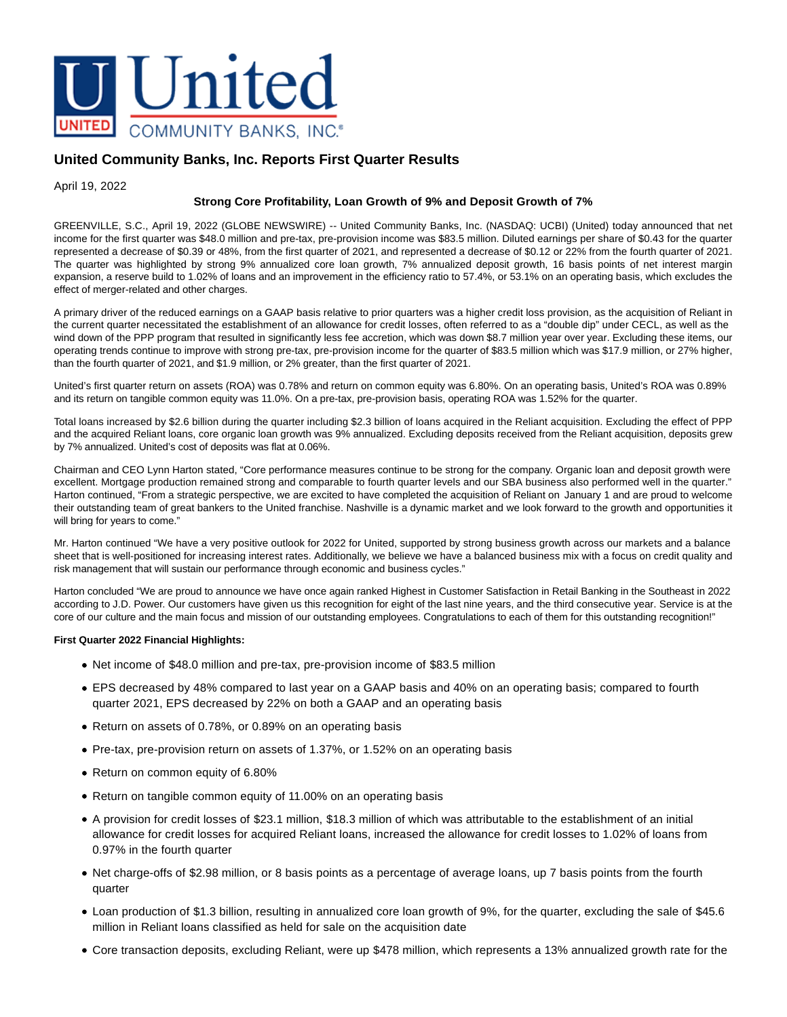

# **United Community Banks, Inc. Reports First Quarter Results**

April 19, 2022

### **Strong Core Profitability, Loan Growth of 9% and Deposit Growth of 7%**

GREENVILLE, S.C., April 19, 2022 (GLOBE NEWSWIRE) -- United Community Banks, Inc. (NASDAQ: UCBI) (United) today announced that net income for the first quarter was \$48.0 million and pre-tax, pre-provision income was \$83.5 million. Diluted earnings per share of \$0.43 for the quarter represented a decrease of \$0.39 or 48%, from the first quarter of 2021, and represented a decrease of \$0.12 or 22% from the fourth quarter of 2021. The quarter was highlighted by strong 9% annualized core loan growth, 7% annualized deposit growth, 16 basis points of net interest margin expansion, a reserve build to 1.02% of loans and an improvement in the efficiency ratio to 57.4%, or 53.1% on an operating basis, which excludes the effect of merger-related and other charges.

A primary driver of the reduced earnings on a GAAP basis relative to prior quarters was a higher credit loss provision, as the acquisition of Reliant in the current quarter necessitated the establishment of an allowance for credit losses, often referred to as a "double dip" under CECL, as well as the wind down of the PPP program that resulted in significantly less fee accretion, which was down \$8.7 million year over year. Excluding these items, our operating trends continue to improve with strong pre-tax, pre-provision income for the quarter of \$83.5 million which was \$17.9 million, or 27% higher, than the fourth quarter of 2021, and \$1.9 million, or 2% greater, than the first quarter of 2021.

United's first quarter return on assets (ROA) was 0.78% and return on common equity was 6.80%. On an operating basis, United's ROA was 0.89% and its return on tangible common equity was 11.0%. On a pre-tax, pre-provision basis, operating ROA was 1.52% for the quarter.

Total loans increased by \$2.6 billion during the quarter including \$2.3 billion of loans acquired in the Reliant acquisition. Excluding the effect of PPP and the acquired Reliant loans, core organic loan growth was 9% annualized. Excluding deposits received from the Reliant acquisition, deposits grew by 7% annualized. United's cost of deposits was flat at 0.06%.

Chairman and CEO Lynn Harton stated, "Core performance measures continue to be strong for the company. Organic loan and deposit growth were excellent. Mortgage production remained strong and comparable to fourth quarter levels and our SBA business also performed well in the quarter." Harton continued, "From a strategic perspective, we are excited to have completed the acquisition of Reliant on January 1 and are proud to welcome their outstanding team of great bankers to the United franchise. Nashville is a dynamic market and we look forward to the growth and opportunities it will bring for years to come."

Mr. Harton continued "We have a very positive outlook for 2022 for United, supported by strong business growth across our markets and a balance sheet that is well-positioned for increasing interest rates. Additionally, we believe we have a balanced business mix with a focus on credit quality and risk management that will sustain our performance through economic and business cycles."

Harton concluded "We are proud to announce we have once again ranked Highest in Customer Satisfaction in Retail Banking in the Southeast in 2022 according to J.D. Power. Our customers have given us this recognition for eight of the last nine years, and the third consecutive year. Service is at the core of our culture and the main focus and mission of our outstanding employees. Congratulations to each of them for this outstanding recognition!"

### **First Quarter 2022 Financial Highlights:**

- Net income of \$48.0 million and pre-tax, pre-provision income of \$83.5 million
- EPS decreased by 48% compared to last year on a GAAP basis and 40% on an operating basis; compared to fourth quarter 2021, EPS decreased by 22% on both a GAAP and an operating basis
- Return on assets of 0.78%, or 0.89% on an operating basis
- Pre-tax, pre-provision return on assets of 1.37%, or 1.52% on an operating basis
- Return on common equity of 6.80%
- Return on tangible common equity of 11.00% on an operating basis
- A provision for credit losses of \$23.1 million, \$18.3 million of which was attributable to the establishment of an initial allowance for credit losses for acquired Reliant loans, increased the allowance for credit losses to 1.02% of loans from 0.97% in the fourth quarter
- Net charge-offs of \$2.98 million, or 8 basis points as a percentage of average loans, up 7 basis points from the fourth quarter
- Loan production of \$1.3 billion, resulting in annualized core loan growth of 9%, for the quarter, excluding the sale of \$45.6 million in Reliant loans classified as held for sale on the acquisition date
- Core transaction deposits, excluding Reliant, were up \$478 million, which represents a 13% annualized growth rate for the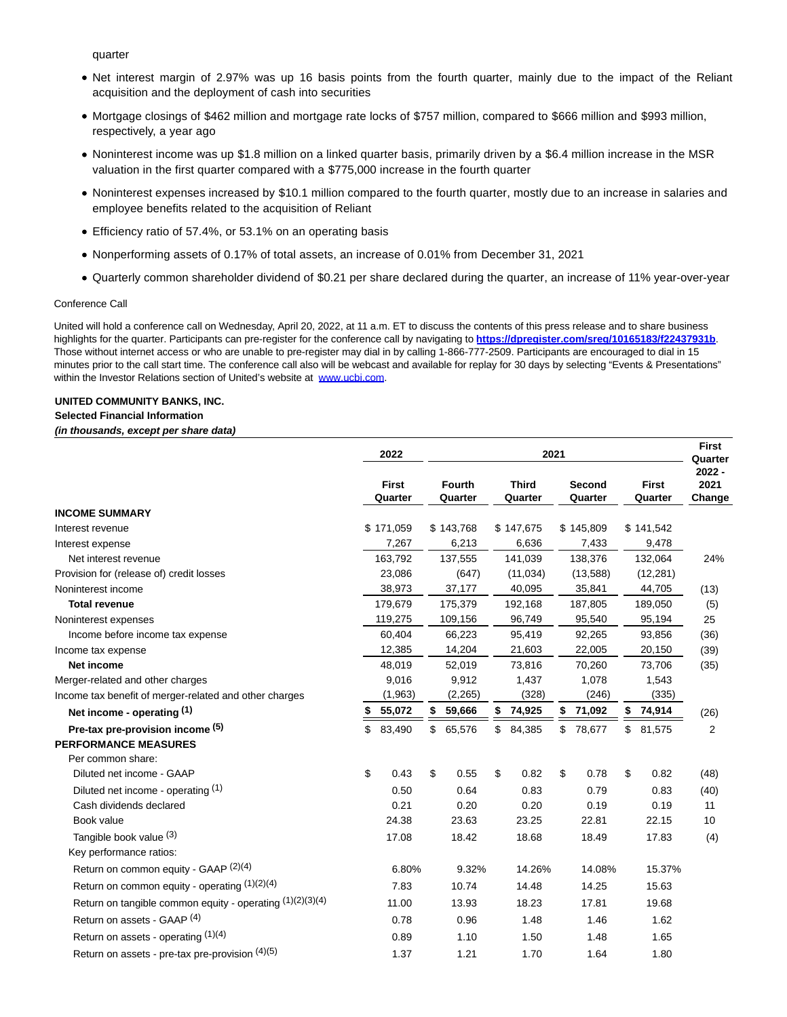quarter

- Net interest margin of 2.97% was up 16 basis points from the fourth quarter, mainly due to the impact of the Reliant acquisition and the deployment of cash into securities
- Mortgage closings of \$462 million and mortgage rate locks of \$757 million, compared to \$666 million and \$993 million, respectively, a year ago
- Noninterest income was up \$1.8 million on a linked quarter basis, primarily driven by a \$6.4 million increase in the MSR valuation in the first quarter compared with a \$775,000 increase in the fourth quarter
- Noninterest expenses increased by \$10.1 million compared to the fourth quarter, mostly due to an increase in salaries and employee benefits related to the acquisition of Reliant
- Efficiency ratio of 57.4%, or 53.1% on an operating basis
- Nonperforming assets of 0.17% of total assets, an increase of 0.01% from December 31, 2021
- Quarterly common shareholder dividend of \$0.21 per share declared during the quarter, an increase of 11% year-over-year

### Conference Call

United will hold a conference call on Wednesday, April 20, 2022, at 11 a.m. ET to discuss the contents of this press release and to share business highlights for the quarter. Participants can pre-register for the conference call by navigating to **[https://dpregister.com/sreg/10165183/f22437931b](https://www.globenewswire.com/Tracker?data=FqIgjqCCI56c7zzYXXxP_5egqkGIf8qNaeH506sV9l4OPLWXsISaaIDC0LWcawWt8z6bpAEa_m-7Pa7Ig9eWpqpBLkAaHnYSXx0NXn6i48g7vlj1yLbfR1MTYVHMCnGCPVGf3wHLUrtL-WLS2A8QAmyUQW7Jkr6fK18-sJigiag=)**. Those without internet access or who are unable to pre-register may dial in by calling 1-866-777-2509. Participants are encouraged to dial in 15 minutes prior to the call start time. The conference call also will be webcast and available for replay for 30 days by selecting "Events & Presentations" within the Investor Relations section of United's website at [www.ucbi.com.](https://www.globenewswire.com/Tracker?data=KMSEZWHDFhdG9zuzc6UKNJjj-jP7BWb5GbpXU-QhITSMfEHHRgDOq9GotpLHwpjaLMbXHtJDuJTC6SgNTJnc8w==)

### **UNITED COMMUNITY BANKS, INC.**

#### **Selected Financial Information**

#### **(in thousands, except per share data)**

|                                                           | 2022                    | 2021 |                                                     |    |                          |    |                         |    |                            | <b>First</b><br>Quarter |
|-----------------------------------------------------------|-------------------------|------|-----------------------------------------------------|----|--------------------------|----|-------------------------|----|----------------------------|-------------------------|
|                                                           | <b>First</b><br>Quarter |      | <b>Fourth</b><br><b>Third</b><br>Quarter<br>Quarter |    | <b>Second</b><br>Quarter |    | <b>First</b><br>Quarter |    | $2022 -$<br>2021<br>Change |                         |
| <b>INCOME SUMMARY</b>                                     |                         |      |                                                     |    |                          |    |                         |    |                            |                         |
| Interest revenue                                          | \$171,059               |      | \$143,768                                           |    | \$147,675                |    | \$145,809               |    | \$141,542                  |                         |
| Interest expense                                          | 7,267                   |      | 6,213                                               |    | 6,636                    |    | 7,433                   |    | 9,478                      |                         |
| Net interest revenue                                      | 163,792                 |      | 137,555                                             |    | 141,039                  |    | 138,376                 |    | 132,064                    | 24%                     |
| Provision for (release of) credit losses                  | 23,086                  |      | (647)                                               |    | (11, 034)                |    | (13,588)                |    | (12, 281)                  |                         |
| Noninterest income                                        | 38,973                  |      | 37,177                                              |    | 40,095                   |    | 35,841                  |    | 44,705                     | (13)                    |
| <b>Total revenue</b>                                      | 179,679                 |      | 175,379                                             |    | 192,168                  |    | 187,805                 |    | 189,050                    | (5)                     |
| Noninterest expenses                                      | 119,275                 |      | 109,156                                             |    | 96,749                   |    | 95,540                  |    | 95,194                     | 25                      |
| Income before income tax expense                          | 60,404                  |      | 66,223                                              |    | 95,419                   |    | 92,265                  |    | 93,856                     | (36)                    |
| Income tax expense                                        | 12,385                  |      | 14,204                                              |    | 21,603                   |    | 22,005                  |    | 20,150                     | (39)                    |
| <b>Net income</b>                                         | 48,019                  |      | 52,019                                              |    | 73,816                   |    | 70,260                  |    | 73,706                     | (35)                    |
| Merger-related and other charges                          | 9,016                   |      | 9,912                                               |    | 1,437                    |    | 1,078                   |    | 1,543                      |                         |
| Income tax benefit of merger-related and other charges    | (1,963)                 |      | (2,265)                                             |    | (328)                    |    | (246)                   |    | (335)                      |                         |
| Net income - operating (1)                                | 55,072                  | \$   | 59,666                                              | \$ | 74,925                   | \$ | 71,092                  | \$ | 74,914                     | (26)                    |
| Pre-tax pre-provision income (5)                          | \$<br>83,490            | \$   | 65,576                                              | \$ | 84,385                   |    | \$78,677                | \$ | 81,575                     | 2                       |
| <b>PERFORMANCE MEASURES</b>                               |                         |      |                                                     |    |                          |    |                         |    |                            |                         |
| Per common share:                                         |                         |      |                                                     |    |                          |    |                         |    |                            |                         |
| Diluted net income - GAAP                                 | \$<br>0.43              | \$   | 0.55                                                | \$ | 0.82                     | \$ | 0.78                    | \$ | 0.82                       | (48)                    |
| Diluted net income - operating (1)                        | 0.50                    |      | 0.64                                                |    | 0.83                     |    | 0.79                    |    | 0.83                       | (40)                    |
| Cash dividends declared                                   | 0.21                    |      | 0.20                                                |    | 0.20                     |    | 0.19                    |    | 0.19                       | 11                      |
| Book value                                                | 24.38                   |      | 23.63                                               |    | 23.25                    |    | 22.81                   |    | 22.15                      | 10                      |
| Tangible book value (3)                                   | 17.08                   |      | 18.42                                               |    | 18.68                    |    | 18.49                   |    | 17.83                      | (4)                     |
| Key performance ratios:                                   |                         |      |                                                     |    |                          |    |                         |    |                            |                         |
| Return on common equity - GAAP (2)(4)                     | 6.80%                   |      | 9.32%                                               |    | 14.26%                   |    | 14.08%                  |    | 15.37%                     |                         |
| Return on common equity - operating $(1)(2)(4)$           | 7.83                    |      | 10.74                                               |    | 14.48                    |    | 14.25                   |    | 15.63                      |                         |
| Return on tangible common equity - operating (1)(2)(3)(4) | 11.00                   |      | 13.93                                               |    | 18.23                    |    | 17.81                   |    | 19.68                      |                         |
| Return on assets - GAAP (4)                               | 0.78                    |      | 0.96                                                |    | 1.48                     |    | 1.46                    |    | 1.62                       |                         |
| Return on assets - operating (1)(4)                       | 0.89                    |      | 1.10                                                |    | 1.50                     |    | 1.48                    |    | 1.65                       |                         |
| Return on assets - pre-tax pre-provision $(4)(5)$         | 1.37                    |      | 1.21                                                |    | 1.70                     |    | 1.64                    |    | 1.80                       |                         |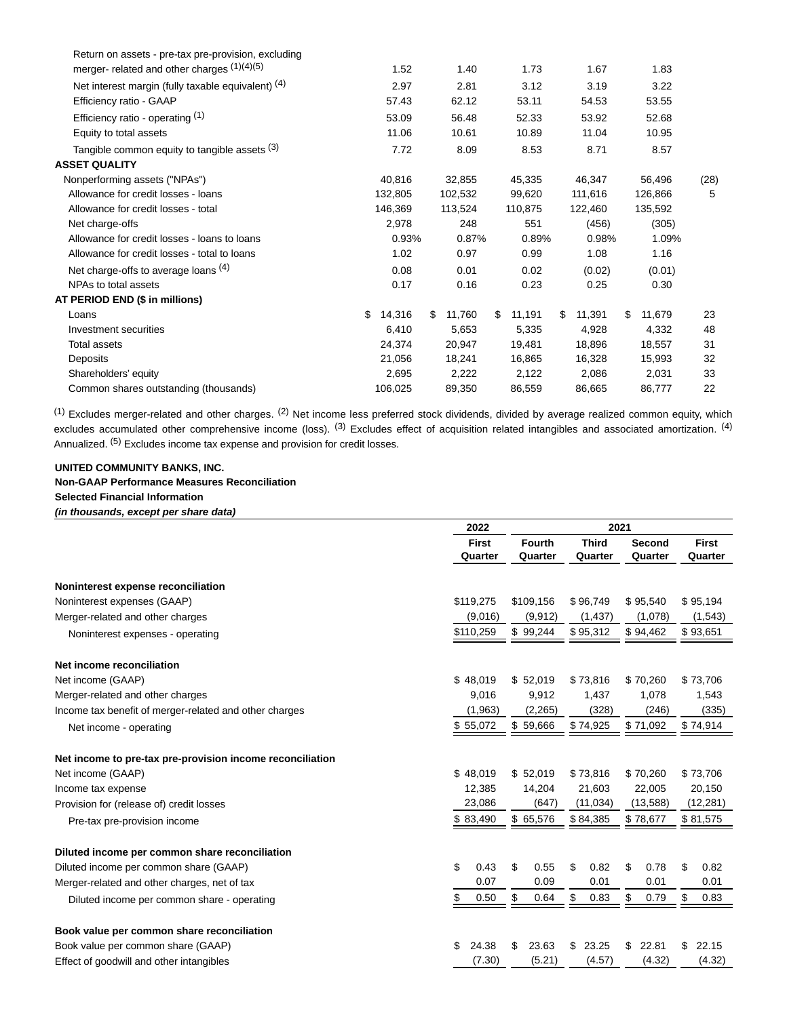| Return on assets - pre-tax pre-provision, excluding |              |               |              |               |              |      |
|-----------------------------------------------------|--------------|---------------|--------------|---------------|--------------|------|
| merger- related and other charges (1)(4)(5)         | 1.52         | 1.40          | 1.73         | 1.67          | 1.83         |      |
| Net interest margin (fully taxable equivalent) (4)  | 2.97         | 2.81          | 3.12         | 3.19          | 3.22         |      |
| Efficiency ratio - GAAP                             | 57.43        | 62.12         | 53.11        | 54.53         | 53.55        |      |
| Efficiency ratio - operating $(1)$                  | 53.09        | 56.48         | 52.33        | 53.92         | 52.68        |      |
| Equity to total assets                              | 11.06        | 10.61         | 10.89        | 11.04         | 10.95        |      |
| Tangible common equity to tangible assets (3)       | 7.72         | 8.09          | 8.53         | 8.71          | 8.57         |      |
| <b>ASSET QUALITY</b>                                |              |               |              |               |              |      |
| Nonperforming assets ("NPAs")                       | 40,816       | 32,855        | 45,335       | 46,347        | 56,496       | (28) |
| Allowance for credit losses - loans                 | 132,805      | 102,532       | 99,620       | 111,616       | 126,866      | 5    |
| Allowance for credit losses - total                 | 146.369      | 113,524       | 110,875      | 122.460       | 135,592      |      |
| Net charge-offs                                     | 2,978        | 248           | 551          | (456)         | (305)        |      |
| Allowance for credit losses - loans to loans        | 0.93%        | 0.87%         | 0.89%        | 0.98%         | 1.09%        |      |
| Allowance for credit losses - total to loans        | 1.02         | 0.97          | 0.99         | 1.08          | 1.16         |      |
| Net charge-offs to average loans (4)                | 0.08         | 0.01          | 0.02         | (0.02)        | (0.01)       |      |
| NPAs to total assets                                | 0.17         | 0.16          | 0.23         | 0.25          | 0.30         |      |
| AT PERIOD END (\$ in millions)                      |              |               |              |               |              |      |
| Loans                                               | 14,316<br>\$ | 11,760<br>\$. | \$<br>11,191 | 11,391<br>\$. | 11,679<br>S. | 23   |
| Investment securities                               | 6.410        | 5,653         | 5,335        | 4.928         | 4.332        | 48   |
| Total assets                                        | 24,374       | 20,947        | 19,481       | 18,896        | 18,557       | 31   |
| Deposits                                            | 21,056       | 18,241        | 16,865       | 16,328        | 15,993       | 32   |
| Shareholders' equity                                | 2,695        | 2,222         | 2,122        | 2,086         | 2,031        | 33   |
| Common shares outstanding (thousands)               | 106,025      | 89,350        | 86,559       | 86,665        | 86,777       | 22   |

<sup>(1)</sup> Excludes merger-related and other charges. <sup>(2)</sup> Net income less preferred stock dividends, divided by average realized common equity, which excludes accumulated other comprehensive income (loss). <sup>(3)</sup> Excludes effect of acquisition related intangibles and associated amortization. <sup>(4)</sup> Annualized. <sup>(5)</sup> Excludes income tax expense and provision for credit losses.

### **UNITED COMMUNITY BANKS, INC. Non-GAAP Performance Measures Reconciliation Selected Financial Information (in thousands, except per share data)**

|                                                           | 2022         |               |              |             |              |
|-----------------------------------------------------------|--------------|---------------|--------------|-------------|--------------|
|                                                           | <b>First</b> | <b>Fourth</b> | <b>Third</b> | Second      | <b>First</b> |
|                                                           | Quarter      | Quarter       | Quarter      | Quarter     | Quarter      |
| Noninterest expense reconciliation                        |              |               |              |             |              |
| Noninterest expenses (GAAP)                               | \$119,275    | \$109,156     | \$96,749     | \$95,540    | \$95,194     |
| Merger-related and other charges                          | (9,016)      | (9, 912)      | (1, 437)     | (1,078)     | (1,543)      |
| Noninterest expenses - operating                          | \$110,259    | \$99,244      | \$95,312     | \$94,462    | \$93,651     |
| Net income reconciliation                                 |              |               |              |             |              |
| Net income (GAAP)                                         | \$48,019     | \$52,019      | \$73,816     | \$70,260    | \$73,706     |
| Merger-related and other charges                          | 9.016        | 9,912         | 1,437        | 1,078       | 1,543        |
| Income tax benefit of merger-related and other charges    | (1,963)      | (2,265)       | (328)        | (246)       | (335)        |
| Net income - operating                                    | \$55,072     | \$59,666      | \$74,925     | \$71,092    | \$74,914     |
| Net income to pre-tax pre-provision income reconciliation |              |               |              |             |              |
| Net income (GAAP)                                         | \$48,019     | \$52,019      | \$73,816     | \$70,260    | \$73,706     |
| Income tax expense                                        | 12,385       | 14,204        | 21,603       | 22,005      | 20,150       |
| Provision for (release of) credit losses                  | 23,086       | (647)         | (11, 034)    | (13,588)    | (12, 281)    |
| Pre-tax pre-provision income                              | \$83,490     | \$ 65,576     | \$84,385     | \$78,677    | \$81,575     |
| Diluted income per common share reconciliation            |              |               |              |             |              |
| Diluted income per common share (GAAP)                    | \$<br>0.43   | \$<br>0.55    | \$<br>0.82   | \$<br>0.78  | \$<br>0.82   |
| Merger-related and other charges, net of tax              | 0.07         | 0.09          | 0.01         | 0.01        | 0.01         |
| Diluted income per common share - operating               | \$<br>0.50   | \$<br>0.64    | \$<br>0.83   | \$<br>0.79  | \$<br>0.83   |
| Book value per common share reconciliation                |              |               |              |             |              |
| Book value per common share (GAAP)                        | \$<br>24.38  | 23.63<br>\$   | \$<br>23.25  | \$<br>22.81 | \$<br>22.15  |
| Effect of goodwill and other intangibles                  | (7.30)       | (5.21)        | (4.57)       | (4.32)      | (4.32)       |
|                                                           |              |               |              |             |              |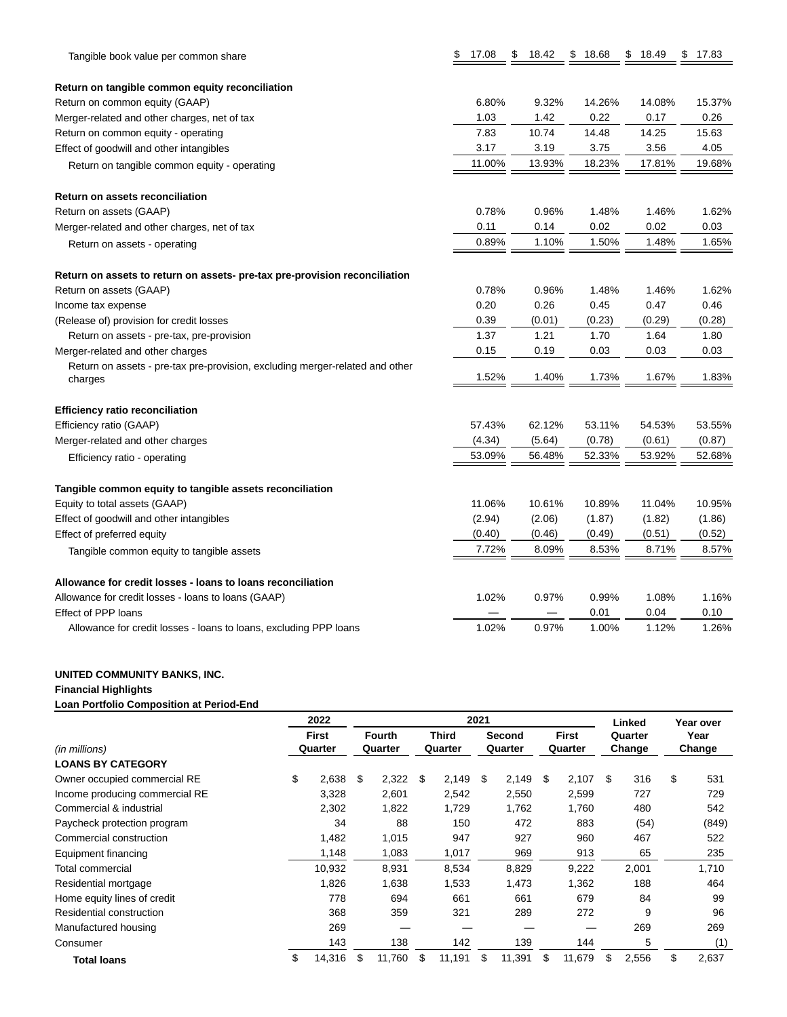| Tangible book value per common share                                         | \$<br>17.08 | \$<br>18.42 | \$18.68 | \$<br>18.49 | \$17.83 |
|------------------------------------------------------------------------------|-------------|-------------|---------|-------------|---------|
| Return on tangible common equity reconciliation                              |             |             |         |             |         |
| Return on common equity (GAAP)                                               | 6.80%       | 9.32%       | 14.26%  | 14.08%      | 15.37%  |
| Merger-related and other charges, net of tax                                 | 1.03        | 1.42        | 0.22    | 0.17        | 0.26    |
| Return on common equity - operating                                          | 7.83        | 10.74       | 14.48   | 14.25       | 15.63   |
| Effect of goodwill and other intangibles                                     | 3.17        | 3.19        | 3.75    | 3.56        | 4.05    |
| Return on tangible common equity - operating                                 | 11.00%      | 13.93%      | 18.23%  | 17.81%      | 19.68%  |
| <b>Return on assets reconciliation</b>                                       |             |             |         |             |         |
| Return on assets (GAAP)                                                      | 0.78%       | 0.96%       | 1.48%   | 1.46%       | 1.62%   |
| Merger-related and other charges, net of tax                                 | 0.11        | 0.14        | 0.02    | 0.02        | 0.03    |
| Return on assets - operating                                                 | 0.89%       | 1.10%       | 1.50%   | 1.48%       | 1.65%   |
| Return on assets to return on assets- pre-tax pre-provision reconciliation   |             |             |         |             |         |
| Return on assets (GAAP)                                                      | 0.78%       | 0.96%       | 1.48%   | 1.46%       | 1.62%   |
| Income tax expense                                                           | 0.20        | 0.26        | 0.45    | 0.47        | 0.46    |
| (Release of) provision for credit losses                                     | 0.39        | (0.01)      | (0.23)  | (0.29)      | (0.28)  |
| Return on assets - pre-tax, pre-provision                                    | 1.37        | 1.21        | 1.70    | 1.64        | 1.80    |
| Merger-related and other charges                                             | 0.15        | 0.19        | 0.03    | 0.03        | 0.03    |
| Return on assets - pre-tax pre-provision, excluding merger-related and other | 1.52%       | 1.40%       |         |             |         |
| charges                                                                      |             |             | 1.73%   | 1.67%       | 1.83%   |
| <b>Efficiency ratio reconciliation</b>                                       |             |             |         |             |         |
| Efficiency ratio (GAAP)                                                      | 57.43%      | 62.12%      | 53.11%  | 54.53%      | 53.55%  |
| Merger-related and other charges                                             | (4.34)      | (5.64)      | (0.78)  | (0.61)      | (0.87)  |
| Efficiency ratio - operating                                                 | 53.09%      | 56.48%      | 52.33%  | 53.92%      | 52.68%  |
| Tangible common equity to tangible assets reconciliation                     |             |             |         |             |         |
| Equity to total assets (GAAP)                                                | 11.06%      | 10.61%      | 10.89%  | 11.04%      | 10.95%  |
| Effect of goodwill and other intangibles                                     | (2.94)      | (2.06)      | (1.87)  | (1.82)      | (1.86)  |
| Effect of preferred equity                                                   | (0.40)      | (0.46)      | (0.49)  | (0.51)      | (0.52)  |
| Tangible common equity to tangible assets                                    | 7.72%       | 8.09%       | 8.53%   | 8.71%       | 8.57%   |
| Allowance for credit losses - loans to loans reconciliation                  |             |             |         |             |         |
| Allowance for credit losses - loans to loans (GAAP)                          | 1.02%       | 0.97%       | 0.99%   | 1.08%       | 1.16%   |
| <b>Effect of PPP loans</b>                                                   |             |             | 0.01    | 0.04        | 0.10    |
| Allowance for credit losses - loans to loans, excluding PPP loans            | 1.02%       | 0.97%       | 1.00%   | 1.12%       | 1.26%   |

### **UNITED COMMUNITY BANKS, INC.**

### **Financial Highlights**

**Loan Portfolio Composition at Period-End**

|                                |    | 2022                    | 2021 |                          |      |                  |    |                   |    |                         | Linked |                   | Year over |                |  |
|--------------------------------|----|-------------------------|------|--------------------------|------|------------------|----|-------------------|----|-------------------------|--------|-------------------|-----------|----------------|--|
| (in millions)                  |    | <b>First</b><br>Quarter |      | <b>Fourth</b><br>Quarter |      | Third<br>Quarter |    | Second<br>Quarter |    | <b>First</b><br>Quarter |        | Quarter<br>Change |           | Year<br>Change |  |
| <b>LOANS BY CATEGORY</b>       |    |                         |      |                          |      |                  |    |                   |    |                         |        |                   |           |                |  |
| Owner occupied commercial RE   | \$ | 2,638                   | \$   | 2,322                    | - \$ | 2,149            | \$ | 2,149             | \$ | 2,107                   | \$     | 316               | \$        | 531            |  |
| Income producing commercial RE |    | 3,328                   |      | 2,601                    |      | 2,542            |    | 2,550             |    | 2,599                   |        | 727               |           | 729            |  |
| Commercial & industrial        |    | 2,302                   |      | 1,822                    |      | 1,729            |    | 1,762             |    | 1,760                   |        | 480               |           | 542            |  |
| Paycheck protection program    |    | 34                      |      | 88                       |      | 150              |    | 472               |    | 883                     |        | (54)              |           | (849)          |  |
| Commercial construction        |    | 1,482                   |      | 1,015                    |      | 947              |    | 927               |    | 960                     |        | 467               |           | 522            |  |
| Equipment financing            |    | 1,148                   |      | 1,083                    |      | 1,017            |    | 969               |    | 913                     |        | 65                |           | 235            |  |
| Total commercial               |    | 10,932                  |      | 8,931                    |      | 8,534            |    | 8,829             |    | 9,222                   |        | 2,001             |           | 1,710          |  |
| Residential mortgage           |    | 1,826                   |      | 1,638                    |      | 1,533            |    | 1,473             |    | 1,362                   |        | 188               |           | 464            |  |
| Home equity lines of credit    |    | 778                     |      | 694                      |      | 661              |    | 661               |    | 679                     |        | 84                |           | 99             |  |
| Residential construction       |    | 368                     |      | 359                      |      | 321              |    | 289               |    | 272                     |        | 9                 |           | 96             |  |
| Manufactured housing           |    | 269                     |      |                          |      |                  |    |                   |    |                         |        | 269               |           | 269            |  |
| Consumer                       |    | 143                     |      | 138                      |      | 142              |    | 139               |    | 144                     |        | 5                 |           | (1)            |  |
| Total Ioans                    | \$ | 14,316                  | \$   | 11,760                   | \$   | 11,191           | \$ | 11,391            | \$ | 11,679                  | \$     | 2,556             | \$        | 2,637          |  |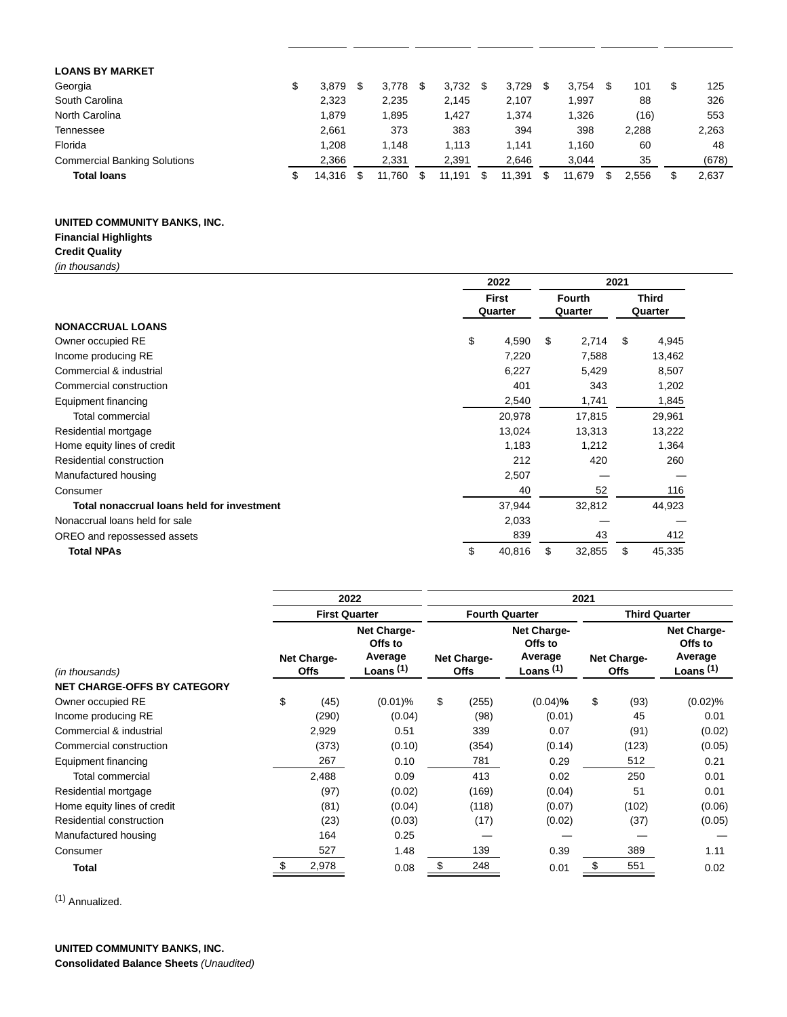| <b>LOANS BY MARKET</b>              |        |        |        |        |   |        |       |   |       |
|-------------------------------------|--------|--------|--------|--------|---|--------|-------|---|-------|
| Georgia<br>\$                       | 3.879  | 3.778  | 3.732  | 3,729  | S | 3.754  | 101   | S | 125   |
| South Carolina                      | 2,323  | 2,235  | 2.145  | 2,107  |   | 1,997  | 88    |   | 326   |
| North Carolina                      | 1,879  | 1,895  | 1,427  | 1,374  |   | 1,326  | (16)  |   | 553   |
| Tennessee                           | 2.661  | 373    | 383    | 394    |   | 398    | 2.288 |   | 2,263 |
| Florida                             | 1.208  | 1.148  | 1.113  | 1.141  |   | 1.160  | 60    |   | 48    |
| <b>Commercial Banking Solutions</b> | 2,366  | 2,331  | 2,391  | 2.646  |   | 3.044  | 35    |   | (678) |
| <b>Total loans</b>                  | 14,316 | 11.760 | 11.191 | 11,391 | S | 11,679 | 2.556 |   | 2,637 |

# **UNITED COMMUNITY BANKS, INC.**

# **Financial Highlights**

**Credit Quality** (in thousands)

|                                            | 2022                    |        |    | 2021                     |                         |        |  |  |  |
|--------------------------------------------|-------------------------|--------|----|--------------------------|-------------------------|--------|--|--|--|
|                                            | <b>First</b><br>Quarter |        |    | <b>Fourth</b><br>Quarter | <b>Third</b><br>Quarter |        |  |  |  |
| <b>NONACCRUAL LOANS</b>                    |                         |        |    |                          |                         |        |  |  |  |
| Owner occupied RE                          | \$                      | 4,590  | \$ | 2,714                    | \$                      | 4,945  |  |  |  |
| Income producing RE                        |                         | 7,220  |    | 7,588                    |                         | 13,462 |  |  |  |
| Commercial & industrial                    |                         | 6,227  |    | 5,429                    |                         | 8,507  |  |  |  |
| Commercial construction                    |                         | 401    |    | 343                      |                         | 1,202  |  |  |  |
| Equipment financing                        |                         | 2,540  |    | 1,741                    |                         | 1,845  |  |  |  |
| <b>Total commercial</b>                    |                         | 20,978 |    | 17,815                   |                         | 29,961 |  |  |  |
| Residential mortgage                       |                         | 13,024 |    | 13,313                   |                         | 13,222 |  |  |  |
| Home equity lines of credit                |                         | 1,183  |    | 1,212                    |                         | 1,364  |  |  |  |
| Residential construction                   |                         | 212    |    | 420                      |                         | 260    |  |  |  |
| Manufactured housing                       |                         | 2,507  |    |                          |                         |        |  |  |  |
| Consumer                                   |                         | 40     |    | 52                       |                         | 116    |  |  |  |
| Total nonaccrual loans held for investment |                         | 37,944 |    | 32,812                   |                         | 44,923 |  |  |  |
| Nonaccrual loans held for sale             |                         | 2,033  |    |                          |                         |        |  |  |  |
| OREO and repossessed assets                |                         | 839    |    | 43                       |                         | 412    |  |  |  |
| <b>Total NPAs</b>                          | \$                      | 40,816 | \$ | 32,855                   | \$                      | 45,335 |  |  |  |

|                                    |    |                            | 2022                                             | 2021                       |       |                                                  |                            |                      |                                                  |  |  |  |  |
|------------------------------------|----|----------------------------|--------------------------------------------------|----------------------------|-------|--------------------------------------------------|----------------------------|----------------------|--------------------------------------------------|--|--|--|--|
|                                    |    |                            | <b>First Quarter</b>                             |                            |       | <b>Fourth Quarter</b>                            |                            | <b>Third Quarter</b> |                                                  |  |  |  |  |
| (in thousands)                     |    | Net Charge-<br><b>Offs</b> | Net Charge-<br>Offs to<br>Average<br>Loans $(1)$ | Net Charge-<br><b>Offs</b> |       | Net Charge-<br>Offs to<br>Average<br>Loans $(1)$ | Net Charge-<br><b>Offs</b> |                      | Net Charge-<br>Offs to<br>Average<br>Loans $(1)$ |  |  |  |  |
| <b>NET CHARGE-OFFS BY CATEGORY</b> |    |                            |                                                  |                            |       |                                                  |                            |                      |                                                  |  |  |  |  |
| Owner occupied RE                  | \$ | (45)                       | $(0.01)\%$                                       | \$                         | (255) | $(0.04)$ %                                       | \$                         | (93)                 | $(0.02)$ %                                       |  |  |  |  |
| Income producing RE                |    | (290)                      | (0.04)                                           |                            | (98)  | (0.01)                                           |                            | 45                   | 0.01                                             |  |  |  |  |
| Commercial & industrial            |    | 2,929                      | 0.51                                             |                            | 339   | 0.07                                             |                            | (91)                 | (0.02)                                           |  |  |  |  |
| Commercial construction            |    | (373)                      | (0.10)                                           |                            | (354) | (0.14)                                           |                            | (123)                | (0.05)                                           |  |  |  |  |
| Equipment financing                |    | 267                        | 0.10                                             |                            | 781   | 0.29                                             |                            | 512                  | 0.21                                             |  |  |  |  |
| <b>Total commercial</b>            |    | 2,488                      | 0.09                                             |                            | 413   | 0.02                                             |                            | 250                  | 0.01                                             |  |  |  |  |
| Residential mortgage               |    | (97)                       | (0.02)                                           |                            | (169) | (0.04)                                           |                            | 51                   | 0.01                                             |  |  |  |  |
| Home equity lines of credit        |    | (81)                       | (0.04)                                           |                            | (118) | (0.07)                                           |                            | (102)                | (0.06)                                           |  |  |  |  |
| Residential construction           |    | (23)                       | (0.03)                                           |                            | (17)  | (0.02)                                           |                            | (37)                 | (0.05)                                           |  |  |  |  |
| Manufactured housing               |    | 164                        | 0.25                                             |                            |       |                                                  |                            |                      |                                                  |  |  |  |  |
| Consumer                           |    | 527                        | 1.48                                             |                            | 139   | 0.39                                             |                            | 389                  | 1.11                                             |  |  |  |  |
| Total                              |    | 2,978                      | 0.08                                             | \$                         | 248   | 0.01                                             | \$                         | 551                  | 0.02                                             |  |  |  |  |

(1) Annualized.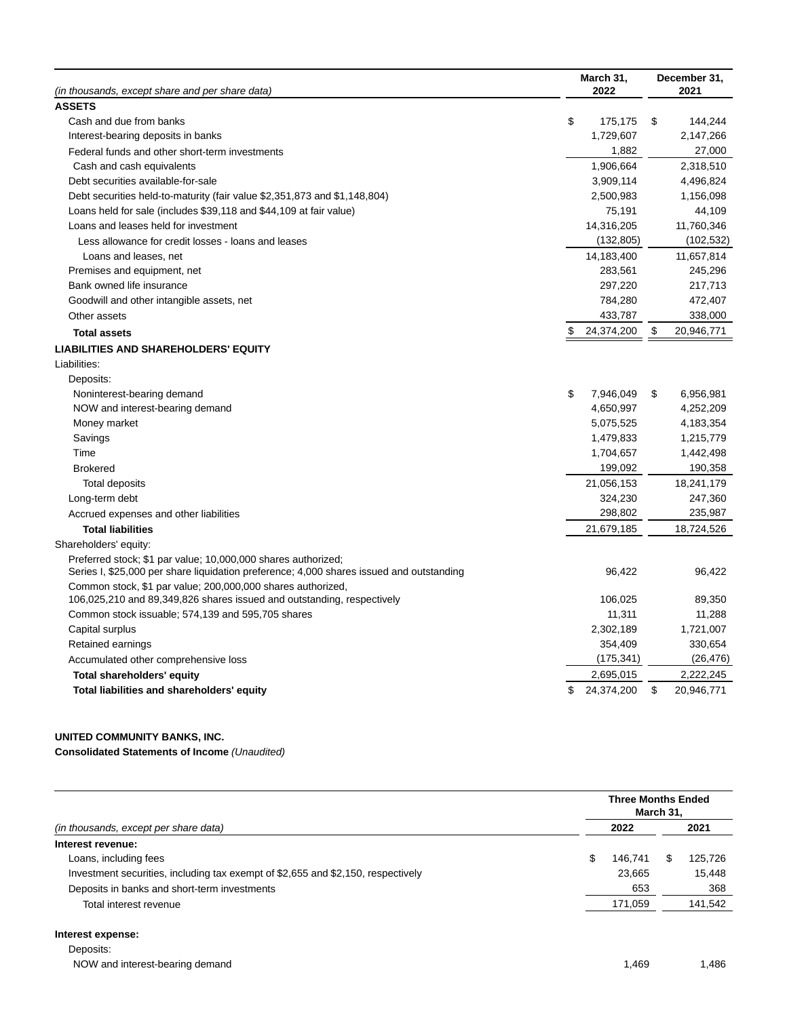| (in thousands, except share and per share data)                                          | March 31,<br>2022 | December 31,<br>2021 |
|------------------------------------------------------------------------------------------|-------------------|----------------------|
| <b>ASSETS</b>                                                                            |                   |                      |
| Cash and due from banks                                                                  | \$<br>175,175     | \$<br>144,244        |
| Interest-bearing deposits in banks                                                       | 1,729,607         | 2,147,266            |
| Federal funds and other short-term investments                                           | 1,882             | 27,000               |
| Cash and cash equivalents                                                                | 1,906,664         | 2,318,510            |
| Debt securities available-for-sale                                                       | 3,909,114         | 4,496,824            |
| Debt securities held-to-maturity (fair value \$2,351,873 and \$1,148,804)                | 2,500,983         | 1,156,098            |
| Loans held for sale (includes \$39,118 and \$44,109 at fair value)                       | 75,191            | 44,109               |
| Loans and leases held for investment                                                     | 14,316,205        | 11,760,346           |
| Less allowance for credit losses - loans and leases                                      | (132, 805)        | (102, 532)           |
| Loans and leases, net                                                                    | 14,183,400        | 11,657,814           |
| Premises and equipment, net                                                              | 283,561           | 245,296              |
| Bank owned life insurance                                                                | 297,220           | 217,713              |
| Goodwill and other intangible assets, net                                                | 784,280           | 472,407              |
| Other assets                                                                             | 433,787           | 338,000              |
| <b>Total assets</b>                                                                      | \$<br>24,374,200  | \$<br>20,946,771     |
| <b>LIABILITIES AND SHAREHOLDERS' EQUITY</b>                                              |                   |                      |
| Liabilities:                                                                             |                   |                      |
| Deposits:                                                                                |                   |                      |
| Noninterest-bearing demand                                                               | \$<br>7,946,049   | \$<br>6,956,981      |
| NOW and interest-bearing demand                                                          | 4,650,997         | 4,252,209            |
| Money market                                                                             | 5,075,525         | 4,183,354            |
| Savings                                                                                  | 1,479,833         | 1,215,779            |
| Time                                                                                     | 1,704,657         | 1,442,498            |
| <b>Brokered</b>                                                                          | 199,092           | 190,358              |
| Total deposits                                                                           | 21,056,153        | 18,241,179           |
| Long-term debt                                                                           | 324,230           | 247,360              |
| Accrued expenses and other liabilities                                                   | 298,802           | 235,987              |
| <b>Total liabilities</b>                                                                 | 21,679,185        | 18,724,526           |
| Shareholders' equity:                                                                    |                   |                      |
| Preferred stock; \$1 par value; 10,000,000 shares authorized;                            |                   |                      |
| Series I, \$25,000 per share liquidation preference; 4,000 shares issued and outstanding | 96,422            | 96,422               |
| Common stock, \$1 par value; 200,000,000 shares authorized,                              |                   |                      |
| 106,025,210 and 89,349,826 shares issued and outstanding, respectively                   | 106,025           | 89,350               |
| Common stock issuable; 574,139 and 595,705 shares                                        | 11,311            | 11,288               |
| Capital surplus                                                                          | 2,302,189         | 1,721,007            |
| Retained earnings                                                                        | 354,409           | 330,654              |
| Accumulated other comprehensive loss                                                     | (175, 341)        | (26, 476)            |
| Total shareholders' equity                                                               | 2,695,015         | 2,222,245            |
| Total liabilities and shareholders' equity                                               | \$<br>24,374,200  | \$<br>20,946,771     |

# **UNITED COMMUNITY BANKS, INC.**

**Consolidated Statements of Income** (Unaudited)

|                                                                                  | <b>Three Months Ended</b><br>March 31, |         |  |         |  |  |  |  |
|----------------------------------------------------------------------------------|----------------------------------------|---------|--|---------|--|--|--|--|
| (in thousands, except per share data)                                            |                                        | 2022    |  | 2021    |  |  |  |  |
| Interest revenue:                                                                |                                        |         |  |         |  |  |  |  |
| Loans, including fees                                                            |                                        | 146.741 |  | 125.726 |  |  |  |  |
| Investment securities, including tax exempt of \$2,655 and \$2,150, respectively |                                        | 23.665  |  | 15,448  |  |  |  |  |
| Deposits in banks and short-term investments                                     |                                        | 653     |  | 368     |  |  |  |  |
| Total interest revenue                                                           |                                        | 171,059 |  | 141,542 |  |  |  |  |

# **Interest expense:**

NOW and interest-bearing demand 1,486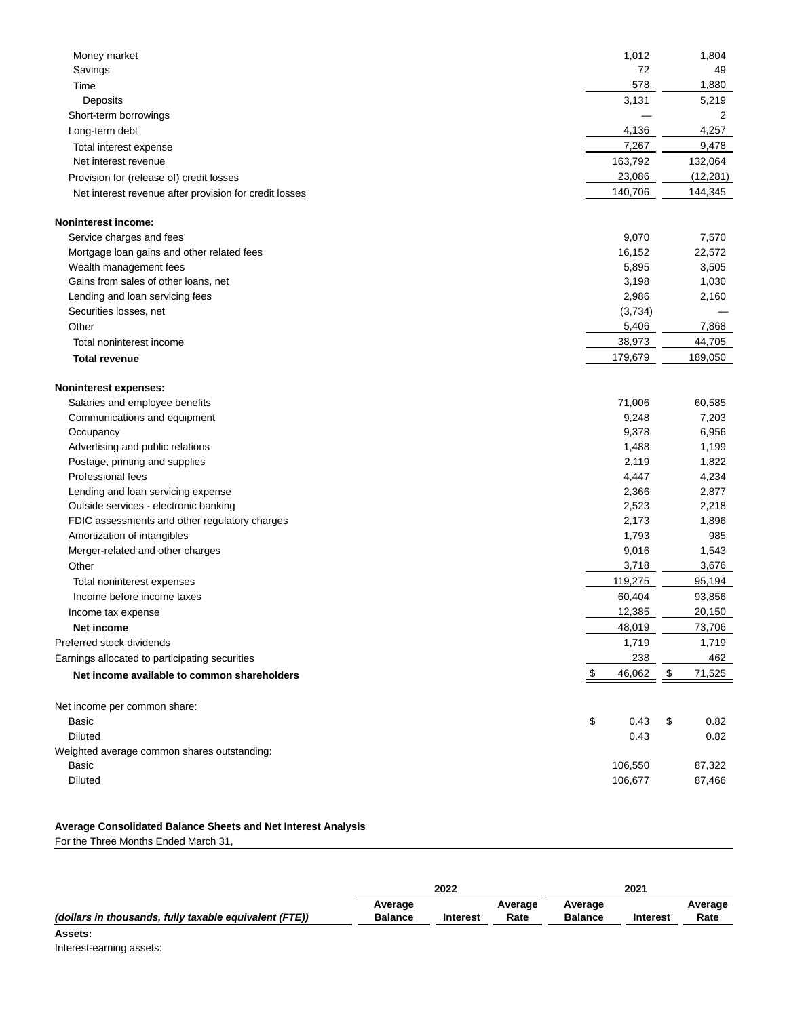| 1,012<br>1,804<br>Money market<br>72<br>Savings<br>49<br>578<br>1,880<br>Time<br>Deposits<br>3,131<br>5,219<br>Short-term borrowings<br>2<br>4,136<br>4,257<br>Long-term debt<br>7,267<br>9,478<br>Total interest expense<br>163,792<br>132,064<br>Net interest revenue<br>23,086<br>(12, 281)<br>Provision for (release of) credit losses<br>140,706<br>144,345<br>Net interest revenue after provision for credit losses<br>Service charges and fees<br>9,070<br>7,570<br>22,572<br>16,152<br>Mortgage loan gains and other related fees<br>Wealth management fees<br>5,895<br>3,505<br>Gains from sales of other loans, net<br>3,198<br>1,030<br>2,986<br>Lending and loan servicing fees<br>2,160<br>Securities losses, net<br>(3,734)<br>5,406<br>7,868<br>Other<br>38,973<br>44,705<br>Total noninterest income<br>179,679<br>189,050<br><b>Total revenue</b><br><b>Noninterest expenses:</b><br>Salaries and employee benefits<br>71,006<br>60,585<br>9,248<br>7,203<br>Communications and equipment<br>9,378<br>6,956<br>Occupancy<br>Advertising and public relations<br>1,488<br>1,199<br>2,119<br>1,822<br>Postage, printing and supplies<br><b>Professional fees</b><br>4,447<br>4,234<br>2,877<br>Lending and loan servicing expense<br>2,366<br>2,523<br>2,218<br>Outside services - electronic banking<br>2,173<br>FDIC assessments and other regulatory charges<br>1,896<br>1,793<br>985<br>Amortization of intangibles<br>1,543<br>Merger-related and other charges<br>9,016<br>3,718<br>3,676<br>Other<br>119,275<br>95,194<br>Total noninterest expenses<br>60,404<br>93,856<br>Income before income taxes<br>12,385<br>20,150<br>Income tax expense<br>48,019<br>73,706<br>Net income<br>Preferred stock dividends<br>1,719<br>1,719<br>238<br>462<br>Earnings allocated to participating securities<br>46,062<br>\$<br>71,525<br>Net income available to common shareholders<br>\$<br>0.43<br>\$<br>0.82<br>Basic<br><b>Diluted</b><br>0.82<br>0.43<br>106,550<br>87,322<br>Basic<br><b>Diluted</b><br>106,677<br>87,466 |                                             |  |
|-----------------------------------------------------------------------------------------------------------------------------------------------------------------------------------------------------------------------------------------------------------------------------------------------------------------------------------------------------------------------------------------------------------------------------------------------------------------------------------------------------------------------------------------------------------------------------------------------------------------------------------------------------------------------------------------------------------------------------------------------------------------------------------------------------------------------------------------------------------------------------------------------------------------------------------------------------------------------------------------------------------------------------------------------------------------------------------------------------------------------------------------------------------------------------------------------------------------------------------------------------------------------------------------------------------------------------------------------------------------------------------------------------------------------------------------------------------------------------------------------------------------------------------------------------------------------------------------------------------------------------------------------------------------------------------------------------------------------------------------------------------------------------------------------------------------------------------------------------------------------------------------------------------------------------------------------------------------------------------------------------------------------------------------------|---------------------------------------------|--|
|                                                                                                                                                                                                                                                                                                                                                                                                                                                                                                                                                                                                                                                                                                                                                                                                                                                                                                                                                                                                                                                                                                                                                                                                                                                                                                                                                                                                                                                                                                                                                                                                                                                                                                                                                                                                                                                                                                                                                                                                                                               |                                             |  |
|                                                                                                                                                                                                                                                                                                                                                                                                                                                                                                                                                                                                                                                                                                                                                                                                                                                                                                                                                                                                                                                                                                                                                                                                                                                                                                                                                                                                                                                                                                                                                                                                                                                                                                                                                                                                                                                                                                                                                                                                                                               |                                             |  |
|                                                                                                                                                                                                                                                                                                                                                                                                                                                                                                                                                                                                                                                                                                                                                                                                                                                                                                                                                                                                                                                                                                                                                                                                                                                                                                                                                                                                                                                                                                                                                                                                                                                                                                                                                                                                                                                                                                                                                                                                                                               |                                             |  |
|                                                                                                                                                                                                                                                                                                                                                                                                                                                                                                                                                                                                                                                                                                                                                                                                                                                                                                                                                                                                                                                                                                                                                                                                                                                                                                                                                                                                                                                                                                                                                                                                                                                                                                                                                                                                                                                                                                                                                                                                                                               |                                             |  |
|                                                                                                                                                                                                                                                                                                                                                                                                                                                                                                                                                                                                                                                                                                                                                                                                                                                                                                                                                                                                                                                                                                                                                                                                                                                                                                                                                                                                                                                                                                                                                                                                                                                                                                                                                                                                                                                                                                                                                                                                                                               |                                             |  |
|                                                                                                                                                                                                                                                                                                                                                                                                                                                                                                                                                                                                                                                                                                                                                                                                                                                                                                                                                                                                                                                                                                                                                                                                                                                                                                                                                                                                                                                                                                                                                                                                                                                                                                                                                                                                                                                                                                                                                                                                                                               |                                             |  |
|                                                                                                                                                                                                                                                                                                                                                                                                                                                                                                                                                                                                                                                                                                                                                                                                                                                                                                                                                                                                                                                                                                                                                                                                                                                                                                                                                                                                                                                                                                                                                                                                                                                                                                                                                                                                                                                                                                                                                                                                                                               |                                             |  |
|                                                                                                                                                                                                                                                                                                                                                                                                                                                                                                                                                                                                                                                                                                                                                                                                                                                                                                                                                                                                                                                                                                                                                                                                                                                                                                                                                                                                                                                                                                                                                                                                                                                                                                                                                                                                                                                                                                                                                                                                                                               |                                             |  |
|                                                                                                                                                                                                                                                                                                                                                                                                                                                                                                                                                                                                                                                                                                                                                                                                                                                                                                                                                                                                                                                                                                                                                                                                                                                                                                                                                                                                                                                                                                                                                                                                                                                                                                                                                                                                                                                                                                                                                                                                                                               |                                             |  |
|                                                                                                                                                                                                                                                                                                                                                                                                                                                                                                                                                                                                                                                                                                                                                                                                                                                                                                                                                                                                                                                                                                                                                                                                                                                                                                                                                                                                                                                                                                                                                                                                                                                                                                                                                                                                                                                                                                                                                                                                                                               |                                             |  |
|                                                                                                                                                                                                                                                                                                                                                                                                                                                                                                                                                                                                                                                                                                                                                                                                                                                                                                                                                                                                                                                                                                                                                                                                                                                                                                                                                                                                                                                                                                                                                                                                                                                                                                                                                                                                                                                                                                                                                                                                                                               | <b>Noninterest income:</b>                  |  |
|                                                                                                                                                                                                                                                                                                                                                                                                                                                                                                                                                                                                                                                                                                                                                                                                                                                                                                                                                                                                                                                                                                                                                                                                                                                                                                                                                                                                                                                                                                                                                                                                                                                                                                                                                                                                                                                                                                                                                                                                                                               |                                             |  |
|                                                                                                                                                                                                                                                                                                                                                                                                                                                                                                                                                                                                                                                                                                                                                                                                                                                                                                                                                                                                                                                                                                                                                                                                                                                                                                                                                                                                                                                                                                                                                                                                                                                                                                                                                                                                                                                                                                                                                                                                                                               |                                             |  |
|                                                                                                                                                                                                                                                                                                                                                                                                                                                                                                                                                                                                                                                                                                                                                                                                                                                                                                                                                                                                                                                                                                                                                                                                                                                                                                                                                                                                                                                                                                                                                                                                                                                                                                                                                                                                                                                                                                                                                                                                                                               |                                             |  |
|                                                                                                                                                                                                                                                                                                                                                                                                                                                                                                                                                                                                                                                                                                                                                                                                                                                                                                                                                                                                                                                                                                                                                                                                                                                                                                                                                                                                                                                                                                                                                                                                                                                                                                                                                                                                                                                                                                                                                                                                                                               |                                             |  |
|                                                                                                                                                                                                                                                                                                                                                                                                                                                                                                                                                                                                                                                                                                                                                                                                                                                                                                                                                                                                                                                                                                                                                                                                                                                                                                                                                                                                                                                                                                                                                                                                                                                                                                                                                                                                                                                                                                                                                                                                                                               |                                             |  |
|                                                                                                                                                                                                                                                                                                                                                                                                                                                                                                                                                                                                                                                                                                                                                                                                                                                                                                                                                                                                                                                                                                                                                                                                                                                                                                                                                                                                                                                                                                                                                                                                                                                                                                                                                                                                                                                                                                                                                                                                                                               |                                             |  |
|                                                                                                                                                                                                                                                                                                                                                                                                                                                                                                                                                                                                                                                                                                                                                                                                                                                                                                                                                                                                                                                                                                                                                                                                                                                                                                                                                                                                                                                                                                                                                                                                                                                                                                                                                                                                                                                                                                                                                                                                                                               |                                             |  |
|                                                                                                                                                                                                                                                                                                                                                                                                                                                                                                                                                                                                                                                                                                                                                                                                                                                                                                                                                                                                                                                                                                                                                                                                                                                                                                                                                                                                                                                                                                                                                                                                                                                                                                                                                                                                                                                                                                                                                                                                                                               |                                             |  |
|                                                                                                                                                                                                                                                                                                                                                                                                                                                                                                                                                                                                                                                                                                                                                                                                                                                                                                                                                                                                                                                                                                                                                                                                                                                                                                                                                                                                                                                                                                                                                                                                                                                                                                                                                                                                                                                                                                                                                                                                                                               |                                             |  |
|                                                                                                                                                                                                                                                                                                                                                                                                                                                                                                                                                                                                                                                                                                                                                                                                                                                                                                                                                                                                                                                                                                                                                                                                                                                                                                                                                                                                                                                                                                                                                                                                                                                                                                                                                                                                                                                                                                                                                                                                                                               |                                             |  |
|                                                                                                                                                                                                                                                                                                                                                                                                                                                                                                                                                                                                                                                                                                                                                                                                                                                                                                                                                                                                                                                                                                                                                                                                                                                                                                                                                                                                                                                                                                                                                                                                                                                                                                                                                                                                                                                                                                                                                                                                                                               |                                             |  |
|                                                                                                                                                                                                                                                                                                                                                                                                                                                                                                                                                                                                                                                                                                                                                                                                                                                                                                                                                                                                                                                                                                                                                                                                                                                                                                                                                                                                                                                                                                                                                                                                                                                                                                                                                                                                                                                                                                                                                                                                                                               |                                             |  |
|                                                                                                                                                                                                                                                                                                                                                                                                                                                                                                                                                                                                                                                                                                                                                                                                                                                                                                                                                                                                                                                                                                                                                                                                                                                                                                                                                                                                                                                                                                                                                                                                                                                                                                                                                                                                                                                                                                                                                                                                                                               |                                             |  |
|                                                                                                                                                                                                                                                                                                                                                                                                                                                                                                                                                                                                                                                                                                                                                                                                                                                                                                                                                                                                                                                                                                                                                                                                                                                                                                                                                                                                                                                                                                                                                                                                                                                                                                                                                                                                                                                                                                                                                                                                                                               |                                             |  |
|                                                                                                                                                                                                                                                                                                                                                                                                                                                                                                                                                                                                                                                                                                                                                                                                                                                                                                                                                                                                                                                                                                                                                                                                                                                                                                                                                                                                                                                                                                                                                                                                                                                                                                                                                                                                                                                                                                                                                                                                                                               |                                             |  |
|                                                                                                                                                                                                                                                                                                                                                                                                                                                                                                                                                                                                                                                                                                                                                                                                                                                                                                                                                                                                                                                                                                                                                                                                                                                                                                                                                                                                                                                                                                                                                                                                                                                                                                                                                                                                                                                                                                                                                                                                                                               |                                             |  |
|                                                                                                                                                                                                                                                                                                                                                                                                                                                                                                                                                                                                                                                                                                                                                                                                                                                                                                                                                                                                                                                                                                                                                                                                                                                                                                                                                                                                                                                                                                                                                                                                                                                                                                                                                                                                                                                                                                                                                                                                                                               |                                             |  |
|                                                                                                                                                                                                                                                                                                                                                                                                                                                                                                                                                                                                                                                                                                                                                                                                                                                                                                                                                                                                                                                                                                                                                                                                                                                                                                                                                                                                                                                                                                                                                                                                                                                                                                                                                                                                                                                                                                                                                                                                                                               |                                             |  |
|                                                                                                                                                                                                                                                                                                                                                                                                                                                                                                                                                                                                                                                                                                                                                                                                                                                                                                                                                                                                                                                                                                                                                                                                                                                                                                                                                                                                                                                                                                                                                                                                                                                                                                                                                                                                                                                                                                                                                                                                                                               |                                             |  |
|                                                                                                                                                                                                                                                                                                                                                                                                                                                                                                                                                                                                                                                                                                                                                                                                                                                                                                                                                                                                                                                                                                                                                                                                                                                                                                                                                                                                                                                                                                                                                                                                                                                                                                                                                                                                                                                                                                                                                                                                                                               |                                             |  |
|                                                                                                                                                                                                                                                                                                                                                                                                                                                                                                                                                                                                                                                                                                                                                                                                                                                                                                                                                                                                                                                                                                                                                                                                                                                                                                                                                                                                                                                                                                                                                                                                                                                                                                                                                                                                                                                                                                                                                                                                                                               |                                             |  |
|                                                                                                                                                                                                                                                                                                                                                                                                                                                                                                                                                                                                                                                                                                                                                                                                                                                                                                                                                                                                                                                                                                                                                                                                                                                                                                                                                                                                                                                                                                                                                                                                                                                                                                                                                                                                                                                                                                                                                                                                                                               |                                             |  |
|                                                                                                                                                                                                                                                                                                                                                                                                                                                                                                                                                                                                                                                                                                                                                                                                                                                                                                                                                                                                                                                                                                                                                                                                                                                                                                                                                                                                                                                                                                                                                                                                                                                                                                                                                                                                                                                                                                                                                                                                                                               |                                             |  |
|                                                                                                                                                                                                                                                                                                                                                                                                                                                                                                                                                                                                                                                                                                                                                                                                                                                                                                                                                                                                                                                                                                                                                                                                                                                                                                                                                                                                                                                                                                                                                                                                                                                                                                                                                                                                                                                                                                                                                                                                                                               |                                             |  |
|                                                                                                                                                                                                                                                                                                                                                                                                                                                                                                                                                                                                                                                                                                                                                                                                                                                                                                                                                                                                                                                                                                                                                                                                                                                                                                                                                                                                                                                                                                                                                                                                                                                                                                                                                                                                                                                                                                                                                                                                                                               |                                             |  |
|                                                                                                                                                                                                                                                                                                                                                                                                                                                                                                                                                                                                                                                                                                                                                                                                                                                                                                                                                                                                                                                                                                                                                                                                                                                                                                                                                                                                                                                                                                                                                                                                                                                                                                                                                                                                                                                                                                                                                                                                                                               |                                             |  |
|                                                                                                                                                                                                                                                                                                                                                                                                                                                                                                                                                                                                                                                                                                                                                                                                                                                                                                                                                                                                                                                                                                                                                                                                                                                                                                                                                                                                                                                                                                                                                                                                                                                                                                                                                                                                                                                                                                                                                                                                                                               |                                             |  |
|                                                                                                                                                                                                                                                                                                                                                                                                                                                                                                                                                                                                                                                                                                                                                                                                                                                                                                                                                                                                                                                                                                                                                                                                                                                                                                                                                                                                                                                                                                                                                                                                                                                                                                                                                                                                                                                                                                                                                                                                                                               |                                             |  |
|                                                                                                                                                                                                                                                                                                                                                                                                                                                                                                                                                                                                                                                                                                                                                                                                                                                                                                                                                                                                                                                                                                                                                                                                                                                                                                                                                                                                                                                                                                                                                                                                                                                                                                                                                                                                                                                                                                                                                                                                                                               |                                             |  |
|                                                                                                                                                                                                                                                                                                                                                                                                                                                                                                                                                                                                                                                                                                                                                                                                                                                                                                                                                                                                                                                                                                                                                                                                                                                                                                                                                                                                                                                                                                                                                                                                                                                                                                                                                                                                                                                                                                                                                                                                                                               |                                             |  |
|                                                                                                                                                                                                                                                                                                                                                                                                                                                                                                                                                                                                                                                                                                                                                                                                                                                                                                                                                                                                                                                                                                                                                                                                                                                                                                                                                                                                                                                                                                                                                                                                                                                                                                                                                                                                                                                                                                                                                                                                                                               | Net income per common share:                |  |
|                                                                                                                                                                                                                                                                                                                                                                                                                                                                                                                                                                                                                                                                                                                                                                                                                                                                                                                                                                                                                                                                                                                                                                                                                                                                                                                                                                                                                                                                                                                                                                                                                                                                                                                                                                                                                                                                                                                                                                                                                                               |                                             |  |
|                                                                                                                                                                                                                                                                                                                                                                                                                                                                                                                                                                                                                                                                                                                                                                                                                                                                                                                                                                                                                                                                                                                                                                                                                                                                                                                                                                                                                                                                                                                                                                                                                                                                                                                                                                                                                                                                                                                                                                                                                                               |                                             |  |
|                                                                                                                                                                                                                                                                                                                                                                                                                                                                                                                                                                                                                                                                                                                                                                                                                                                                                                                                                                                                                                                                                                                                                                                                                                                                                                                                                                                                                                                                                                                                                                                                                                                                                                                                                                                                                                                                                                                                                                                                                                               | Weighted average common shares outstanding: |  |
|                                                                                                                                                                                                                                                                                                                                                                                                                                                                                                                                                                                                                                                                                                                                                                                                                                                                                                                                                                                                                                                                                                                                                                                                                                                                                                                                                                                                                                                                                                                                                                                                                                                                                                                                                                                                                                                                                                                                                                                                                                               |                                             |  |
|                                                                                                                                                                                                                                                                                                                                                                                                                                                                                                                                                                                                                                                                                                                                                                                                                                                                                                                                                                                                                                                                                                                                                                                                                                                                                                                                                                                                                                                                                                                                                                                                                                                                                                                                                                                                                                                                                                                                                                                                                                               |                                             |  |

### **Average Consolidated Balance Sheets and Net Interest Analysis**

For the Three Months Ended March 31,

|                                                        |                           | 2022            |                 |                           | 2021            |                 |  |
|--------------------------------------------------------|---------------------------|-----------------|-----------------|---------------------------|-----------------|-----------------|--|
| (dollars in thousands, fully taxable equivalent (FTE)) | Average<br><b>Balance</b> | <b>Interest</b> | Average<br>Rate | Average<br><b>Balance</b> | <b>Interest</b> | Average<br>Rate |  |
| Assets:                                                |                           |                 |                 |                           |                 |                 |  |
| Interest corping consta                                |                           |                 |                 |                           |                 |                 |  |

Interest-earning assets: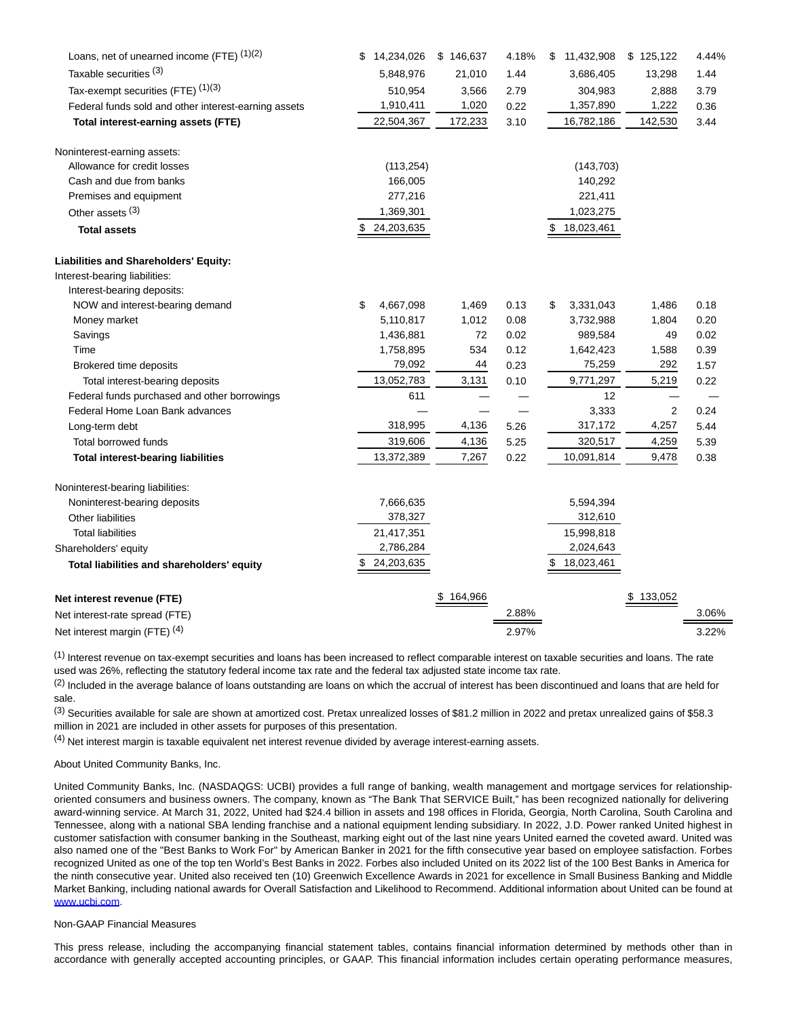| Loans, net of unearned income (FTE) (1)(2)           | 14,234,026<br>\$ | \$146,637 | 4.18% | 11,432,908<br>\$ | \$125,122 | 4.44% |
|------------------------------------------------------|------------------|-----------|-------|------------------|-----------|-------|
| Taxable securities (3)                               | 5,848,976        | 21,010    | 1.44  | 3,686,405        | 13,298    | 1.44  |
| Tax-exempt securities (FTE) (1)(3)                   | 510,954          | 3,566     | 2.79  | 304,983          | 2,888     | 3.79  |
| Federal funds sold and other interest-earning assets | 1,910,411        | 1,020     | 0.22  | 1,357,890        | 1,222     | 0.36  |
| Total interest-earning assets (FTE)                  | 22,504,367       | 172,233   | 3.10  | 16,782,186       | 142,530   | 3.44  |
| Noninterest-earning assets:                          |                  |           |       |                  |           |       |
| Allowance for credit losses                          | (113, 254)       |           |       | (143, 703)       |           |       |
| Cash and due from banks                              | 166,005          |           |       | 140,292          |           |       |
| Premises and equipment                               | 277,216          |           |       | 221,411          |           |       |
| Other assets <sup>(3)</sup>                          | 1,369,301        |           |       | 1,023,275        |           |       |
| <b>Total assets</b>                                  | 24,203,635       |           |       | 18,023,461       |           |       |
| <b>Liabilities and Shareholders' Equity:</b>         |                  |           |       |                  |           |       |
| Interest-bearing liabilities:                        |                  |           |       |                  |           |       |
| Interest-bearing deposits:                           |                  |           |       |                  |           |       |
| NOW and interest-bearing demand                      | \$<br>4,667,098  | 1,469     | 0.13  | \$<br>3,331,043  | 1,486     | 0.18  |
| Money market                                         | 5,110,817        | 1,012     | 0.08  | 3,732,988        | 1,804     | 0.20  |
| Savings                                              | 1,436,881        | 72        | 0.02  | 989,584          | 49        | 0.02  |
| Time                                                 | 1,758,895        | 534       | 0.12  | 1,642,423        | 1,588     | 0.39  |
| Brokered time deposits                               | 79,092           | 44        | 0.23  | 75,259           | 292       | 1.57  |
| Total interest-bearing deposits                      | 13,052,783       | 3,131     | 0.10  | 9,771,297        | 5,219     | 0.22  |
| Federal funds purchased and other borrowings         | 611              |           |       | 12               |           |       |
| Federal Home Loan Bank advances                      |                  |           |       | 3,333            | 2         | 0.24  |
| Long-term debt                                       | 318,995          | 4,136     | 5.26  | 317,172          | 4,257     | 5.44  |
| <b>Total borrowed funds</b>                          | 319,606          | 4,136     | 5.25  | 320,517          | 4,259     | 5.39  |
| <b>Total interest-bearing liabilities</b>            | 13,372,389       | 7,267     | 0.22  | 10,091,814       | 9,478     | 0.38  |
| Noninterest-bearing liabilities:                     |                  |           |       |                  |           |       |
| Noninterest-bearing deposits                         | 7,666,635        |           |       | 5,594,394        |           |       |
| Other liabilities                                    | 378,327          |           |       | 312,610          |           |       |
| <b>Total liabilities</b>                             | 21,417,351       |           |       | 15,998,818       |           |       |
| Shareholders' equity                                 | 2,786,284        |           |       | 2,024,643        |           |       |
| Total liabilities and shareholders' equity           | 24,203,635<br>\$ |           |       | \$<br>18,023,461 |           |       |
| Net interest revenue (FTE)                           |                  | \$164,966 |       |                  | \$133,052 |       |
| Net interest-rate spread (FTE)                       |                  |           | 2.88% |                  |           | 3.06% |
| Net interest margin (FTE) <sup>(4)</sup>             |                  |           | 2.97% |                  |           | 3.22% |

 $<sup>(1)</sup>$  Interest revenue on tax-exempt securities and loans has been increased to reflect comparable interest on taxable securities and loans. The rate</sup> used was 26%, reflecting the statutory federal income tax rate and the federal tax adjusted state income tax rate.

 $<sup>(2)</sup>$  Included in the average balance of loans outstanding are loans on which the accrual of interest has been discontinued and loans that are held for</sup> sale.

(3) Securities available for sale are shown at amortized cost. Pretax unrealized losses of \$81.2 million in 2022 and pretax unrealized gains of \$58.3 million in 2021 are included in other assets for purposes of this presentation.

(4) Net interest margin is taxable equivalent net interest revenue divided by average interest-earning assets.

About United Community Banks, Inc.

United Community Banks, Inc. (NASDAQGS: UCBI) provides a full range of banking, wealth management and mortgage services for relationshiporiented consumers and business owners. The company, known as "The Bank That SERVICE Built," has been recognized nationally for delivering award-winning service. At March 31, 2022, United had \$24.4 billion in assets and 198 offices in Florida, Georgia, North Carolina, South Carolina and Tennessee, along with a national SBA lending franchise and a national equipment lending subsidiary. In 2022, J.D. Power ranked United highest in customer satisfaction with consumer banking in the Southeast, marking eight out of the last nine years United earned the coveted award. United was also named one of the "Best Banks to Work For" by American Banker in 2021 for the fifth consecutive year based on employee satisfaction. Forbes recognized United as one of the top ten World's Best Banks in 2022. Forbes also included United on its 2022 list of the 100 Best Banks in America for the ninth consecutive year. United also received ten (10) Greenwich Excellence Awards in 2021 for excellence in Small Business Banking and Middle Market Banking, including national awards for Overall Satisfaction and Likelihood to Recommend. Additional information about United can be found at [www.ucbi.com.](https://www.globenewswire.com/Tracker?data=KMSEZWHDFhdG9zuzc6UKNDLAPdi3vs0rvZMD0bVVgLhxMlWR5GfD7SiBhZueFwRuJfQF1ooKQiJlSjXWE_E_vg==)

### Non-GAAP Financial Measures

This press release, including the accompanying financial statement tables, contains financial information determined by methods other than in accordance with generally accepted accounting principles, or GAAP. This financial information includes certain operating performance measures,